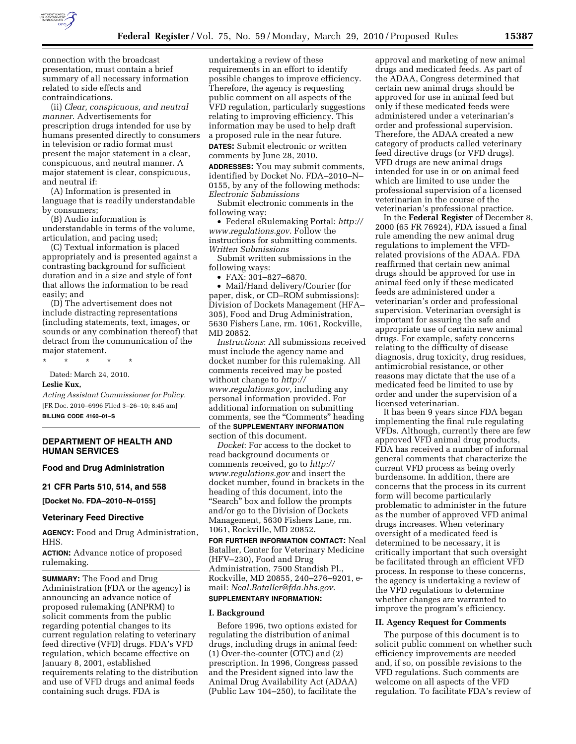

connection with the broadcast presentation, must contain a brief summary of all necessary information related to side effects and contraindications.

(ii) *Clear, conspicuous, and neutral manner*. Advertisements for prescription drugs intended for use by humans presented directly to consumers in television or radio format must present the major statement in a clear, conspicuous, and neutral manner. A major statement is clear, conspicuous, and neutral if:

(A) Information is presented in language that is readily understandable by consumers;

(B) Audio information is understandable in terms of the volume, articulation, and pacing used;

(C) Textual information is placed appropriately and is presented against a contrasting background for sufficient duration and in a size and style of font that allows the information to be read easily; and

(D) The advertisement does not include distracting representations (including statements, text, images, or sounds or any combination thereof) that detract from the communication of the major statement.

\* \* \* \* \*

Dated: March 24, 2010.

#### **Leslie Kux,**

*Acting Assistant Commissioner for Policy.*  [FR Doc. 2010–6996 Filed 3–26–10; 8:45 am] **BILLING CODE 4160–01–S** 

# **DEPARTMENT OF HEALTH AND HUMAN SERVICES**

**Food and Drug Administration** 

**21 CFR Parts 510, 514, and 558** 

**[Docket No. FDA–2010–N–0155]** 

#### **Veterinary Feed Directive**

**AGENCY:** Food and Drug Administration, HHS.

**ACTION:** Advance notice of proposed rulemaking.

**SUMMARY:** The Food and Drug Administration (FDA or the agency) is announcing an advance notice of proposed rulemaking (ANPRM) to solicit comments from the public regarding potential changes to its current regulation relating to veterinary feed directive (VFD) drugs. FDA's VFD regulation, which became effective on January 8, 2001, established requirements relating to the distribution and use of VFD drugs and animal feeds containing such drugs. FDA is

undertaking a review of these requirements in an effort to identify possible changes to improve efficiency. Therefore, the agency is requesting public comment on all aspects of the VFD regulation, particularly suggestions relating to improving efficiency. This information may be used to help draft a proposed rule in the near future. **DATES:** Submit electronic or written comments by June 28, 2010.

**ADDRESSES:** You may submit comments, identified by Docket No. FDA–2010–N– 0155, by any of the following methods: *Electronic Submissions* 

Submit electronic comments in the following way:

• Federal eRulemaking Portal: *http:// www.regulations.gov*. Follow the instructions for submitting comments. *Written Submissions* 

Submit written submissions in the following ways:

• FAX: 301–827–6870.

• Mail/Hand delivery/Courier (for paper, disk, or CD–ROM submissions): Division of Dockets Management (HFA– 305), Food and Drug Administration, 5630 Fishers Lane, rm. 1061, Rockville, MD 20852.

*Instructions*: All submissions received must include the agency name and docket number for this rulemaking. All comments received may be posted without change to *http:// www.regulations.gov*, including any personal information provided. For additional information on submitting comments, see the "Comments" heading of the **SUPPLEMENTARY INFORMATION** section of this document.

*Docket*: For access to the docket to read background documents or comments received, go to *http:// www.regulations.gov* and insert the docket number, found in brackets in the heading of this document, into the ''Search'' box and follow the prompts and/or go to the Division of Dockets Management, 5630 Fishers Lane, rm. 1061, Rockville, MD 20852.

**FOR FURTHER INFORMATION CONTACT:** Neal Bataller, Center for Veterinary Medicine (HFV–230), Food and Drug Administration, 7500 Standish Pl., Rockville, MD 20855, 240–276–9201, email: *Neal.Bataller@fda.hhs.gov*.

## **SUPPLEMENTARY INFORMATION:**

#### **I. Background**

Before 1996, two options existed for regulating the distribution of animal drugs, including drugs in animal feed: (1) Over-the-counter (OTC) and (2) prescription. In 1996, Congress passed and the President signed into law the Animal Drug Availability Act (ADAA) (Public Law 104–250), to facilitate the

approval and marketing of new animal drugs and medicated feeds. As part of the ADAA, Congress determined that certain new animal drugs should be approved for use in animal feed but only if these medicated feeds were administered under a veterinarian's order and professional supervision. Therefore, the ADAA created a new category of products called veterinary feed directive drugs (or VFD drugs). VFD drugs are new animal drugs intended for use in or on animal feed which are limited to use under the professional supervision of a licensed veterinarian in the course of the veterinarian's professional practice.

In the **Federal Register** of December 8, 2000 (65 FR 76924), FDA issued a final rule amending the new animal drug regulations to implement the VFDrelated provisions of the ADAA. FDA reaffirmed that certain new animal drugs should be approved for use in animal feed only if these medicated feeds are administered under a veterinarian's order and professional supervision. Veterinarian oversight is important for assuring the safe and appropriate use of certain new animal drugs. For example, safety concerns relating to the difficulty of disease diagnosis, drug toxicity, drug residues, antimicrobial resistance, or other reasons may dictate that the use of a medicated feed be limited to use by order and under the supervision of a licensed veterinarian.

It has been 9 years since FDA began implementing the final rule regulating VFDs. Although, currently there are few approved VFD animal drug products, FDA has received a number of informal general comments that characterize the current VFD process as being overly burdensome. In addition, there are concerns that the process in its current form will become particularly problematic to administer in the future as the number of approved VFD animal drugs increases. When veterinary oversight of a medicated feed is determined to be necessary, it is critically important that such oversight be facilitated through an efficient VFD process. In response to these concerns, the agency is undertaking a review of the VFD regulations to determine whether changes are warranted to improve the program's efficiency.

### **II. Agency Request for Comments**

The purpose of this document is to solicit public comment on whether such efficiency improvements are needed and, if so, on possible revisions to the VFD regulations. Such comments are welcome on all aspects of the VFD regulation. To facilitate FDA's review of